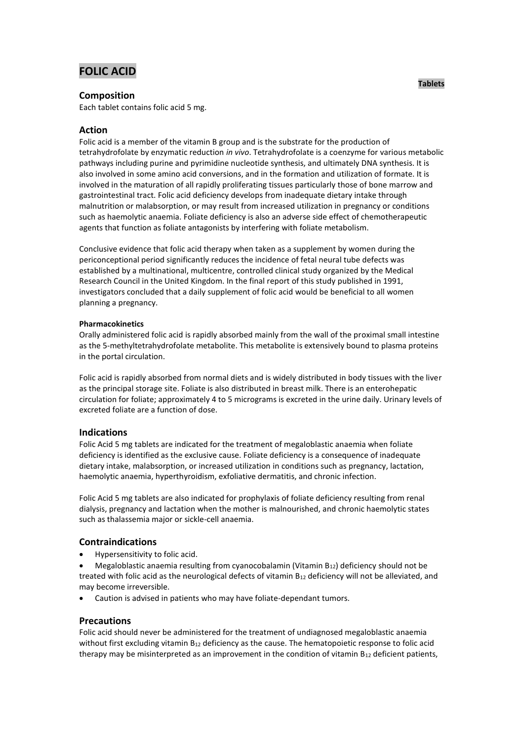# **FOLIC ACID**

# **Composition**

Each tablet contains folic acid 5 mg.

# **Action**

Folic acid is a member of the vitamin B group and is the substrate for the production of tetrahydrofolate by enzymatic reduction *in vivo*. Tetrahydrofolate is a coenzyme for various metabolic pathways including purine and pyrimidine nucleotide synthesis, and ultimately DNA synthesis. It is also involved in some amino acid conversions, and in the formation and utilization of formate. It is involved in the maturation of all rapidly proliferating tissues particularly those of bone marrow and gastrointestinal tract. Folic acid deficiency develops from inadequate dietary intake through malnutrition or malabsorption, or may result from increased utilization in pregnancy or conditions such as haemolytic anaemia. Foliate deficiency is also an adverse side effect of chemotherapeutic agents that function as foliate antagonists by interfering with foliate metabolism.

Conclusive evidence that folic acid therapy when taken as a supplement by women during the periconceptional period significantly reduces the incidence of fetal neural tube defects was established by a multinational, multicentre, controlled clinical study organized by the Medical Research Council in the United Kingdom. In the final report of this study published in 1991, investigators concluded that a daily supplement of folic acid would be beneficial to all women planning a pregnancy.

## **Pharmacokinetics**

Orally administered folic acid is rapidly absorbed mainly from the wall of the proximal small intestine as the 5-methyltetrahydrofolate metabolite. This metabolite is extensively bound to plasma proteins in the portal circulation.

Folic acid is rapidly absorbed from normal diets and is widely distributed in body tissues with the liver as the principal storage site. Foliate is also distributed in breast milk. There is an enterohepatic circulation for foliate; approximately 4 to 5 micrograms is excreted in the urine daily. Urinary levels of excreted foliate are a function of dose.

# **Indications**

Folic Acid 5 mg tablets are indicated for the treatment of megaloblastic anaemia when foliate deficiency is identified as the exclusive cause. Foliate deficiency is a consequence of inadequate dietary intake, malabsorption, or increased utilization in conditions such as pregnancy, lactation, haemolytic anaemia, hyperthyroidism, exfoliative dermatitis, and chronic infection.

Folic Acid 5 mg tablets are also indicated for prophylaxis of foliate deficiency resulting from renal dialysis, pregnancy and lactation when the mother is malnourished, and chronic haemolytic states such as thalassemia major or sickle-cell anaemia.

# **Contraindications**

Hypersensitivity to folic acid.

 Megaloblastic anaemia resulting from cyanocobalamin (Vitamin B12) deficiency should not be treated with folic acid as the neurological defects of vitamin  $B_{12}$  deficiency will not be alleviated, and may become irreversible.

Caution is advised in patients who may have foliate-dependant tumors.

# **Precautions**

Folic acid should never be administered for the treatment of undiagnosed megaloblastic anaemia without first excluding vitamin  $B_{12}$  deficiency as the cause. The hematopoietic response to folic acid therapy may be misinterpreted as an improvement in the condition of vitamin  $B_{12}$  deficient patients,